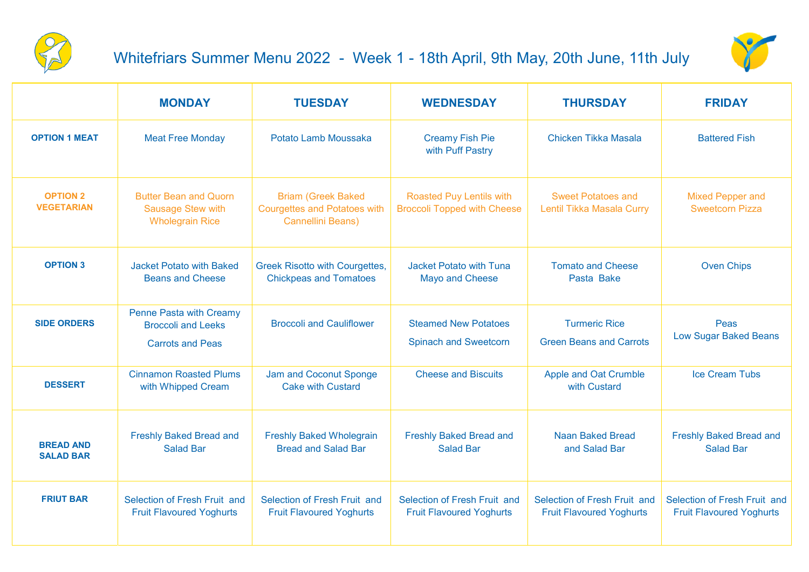

## Whitefriars Summer Menu 2022 - Week 1 - 18th April, 9th May, 20th June, 11th July



|                                      | <b>MONDAY</b>                                                                          | <b>TUESDAY</b>                                                                               | <b>WEDNESDAY</b>                                                      | <b>THURSDAY</b>                                                 | <b>FRIDAY</b>                                                   |
|--------------------------------------|----------------------------------------------------------------------------------------|----------------------------------------------------------------------------------------------|-----------------------------------------------------------------------|-----------------------------------------------------------------|-----------------------------------------------------------------|
| <b>OPTION 1 MEAT</b>                 | <b>Meat Free Monday</b>                                                                | Potato Lamb Moussaka                                                                         | <b>Creamy Fish Pie</b><br>with Puff Pastry                            | Chicken Tikka Masala                                            | <b>Battered Fish</b>                                            |
| <b>OPTION 2</b><br><b>VEGETARIAN</b> | <b>Butter Bean and Quorn</b><br><b>Sausage Stew with</b><br><b>Wholegrain Rice</b>     | <b>Briam (Greek Baked</b><br><b>Courgettes and Potatoes with</b><br><b>Cannellini Beans)</b> | <b>Roasted Puy Lentils with</b><br><b>Broccoli Topped with Cheese</b> | <b>Sweet Potatoes and</b><br>Lentil Tikka Masala Curry          | <b>Mixed Pepper and</b><br><b>Sweetcorn Pizza</b>               |
| <b>OPTION 3</b>                      | <b>Jacket Potato with Baked</b><br><b>Beans and Cheese</b>                             | <b>Greek Risotto with Courgettes,</b><br><b>Chickpeas and Tomatoes</b>                       | <b>Jacket Potato with Tuna</b><br><b>Mayo and Cheese</b>              | <b>Tomato and Cheese</b><br>Pasta Bake                          | <b>Oven Chips</b>                                               |
| <b>SIDE ORDERS</b>                   | <b>Penne Pasta with Creamy</b><br><b>Broccoli and Leeks</b><br><b>Carrots and Peas</b> | <b>Broccoli and Cauliflower</b>                                                              | <b>Steamed New Potatoes</b><br><b>Spinach and Sweetcorn</b>           | <b>Turmeric Rice</b><br><b>Green Beans and Carrots</b>          | Peas<br><b>Low Sugar Baked Beans</b>                            |
| <b>DESSERT</b>                       | <b>Cinnamon Roasted Plums</b><br>with Whipped Cream                                    | Jam and Coconut Sponge<br><b>Cake with Custard</b>                                           | <b>Cheese and Biscuits</b>                                            | <b>Apple and Oat Crumble</b><br>with Custard                    | <b>Ice Cream Tubs</b>                                           |
| <b>BREAD AND</b><br><b>SALAD BAR</b> | <b>Freshly Baked Bread and</b><br><b>Salad Bar</b>                                     | <b>Freshly Baked Wholegrain</b><br><b>Bread and Salad Bar</b>                                | <b>Freshly Baked Bread and</b><br><b>Salad Bar</b>                    | <b>Naan Baked Bread</b><br>and Salad Bar                        | <b>Freshly Baked Bread and</b><br><b>Salad Bar</b>              |
| <b>FRIUT BAR</b>                     | Selection of Fresh Fruit and<br><b>Fruit Flavoured Yoghurts</b>                        | Selection of Fresh Fruit and<br><b>Fruit Flavoured Yoghurts</b>                              | Selection of Fresh Fruit and<br><b>Fruit Flavoured Yoghurts</b>       | Selection of Fresh Fruit and<br><b>Fruit Flavoured Yoghurts</b> | Selection of Fresh Fruit and<br><b>Fruit Flavoured Yoghurts</b> |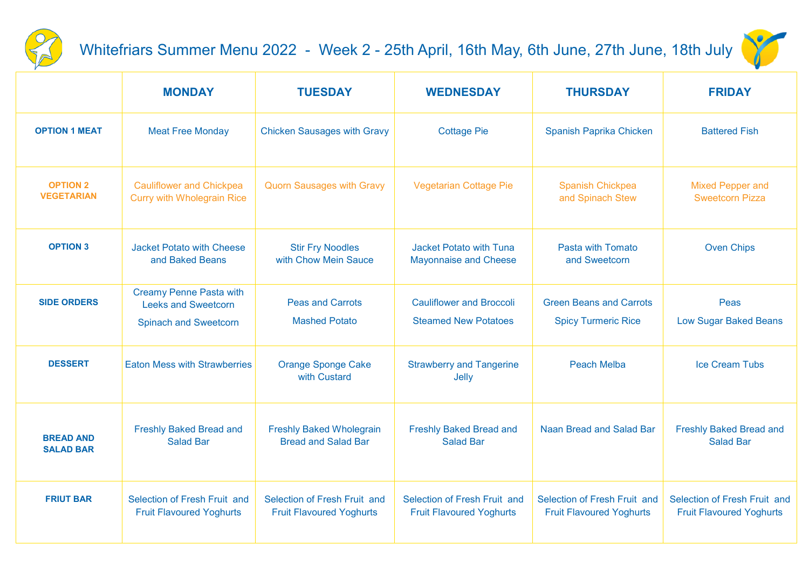

## Whitefriars Summer Menu 2022 - Week 2 - 25th April, 16th May, 6th June, 27th June, 18th July



|                                      | <b>MONDAY</b>                                                                                | <b>TUESDAY</b>                                                  | <b>WEDNESDAY</b>                                                | <b>THURSDAY</b>                                                 | <b>FRIDAY</b>                                                   |
|--------------------------------------|----------------------------------------------------------------------------------------------|-----------------------------------------------------------------|-----------------------------------------------------------------|-----------------------------------------------------------------|-----------------------------------------------------------------|
| <b>OPTION 1 MEAT</b>                 | <b>Meat Free Monday</b>                                                                      | <b>Chicken Sausages with Gravy</b>                              | <b>Cottage Pie</b>                                              | Spanish Paprika Chicken                                         | <b>Battered Fish</b>                                            |
| <b>OPTION 2</b><br><b>VEGETARIAN</b> | <b>Cauliflower and Chickpea</b><br><b>Curry with Wholegrain Rice</b>                         | <b>Quorn Sausages with Gravy</b>                                | <b>Vegetarian Cottage Pie</b>                                   | <b>Spanish Chickpea</b><br>and Spinach Stew                     | <b>Mixed Pepper and</b><br><b>Sweetcorn Pizza</b>               |
| <b>OPTION 3</b>                      | <b>Jacket Potato with Cheese</b><br>and Baked Beans                                          | <b>Stir Fry Noodles</b><br>with Chow Mein Sauce                 | <b>Jacket Potato with Tuna</b><br><b>Mayonnaise and Cheese</b>  | Pasta with Tomato<br>and Sweetcorn                              | <b>Oven Chips</b>                                               |
| <b>SIDE ORDERS</b>                   | <b>Creamy Penne Pasta with</b><br><b>Leeks and Sweetcorn</b><br><b>Spinach and Sweetcorn</b> | <b>Peas and Carrots</b><br><b>Mashed Potato</b>                 | <b>Cauliflower and Broccoli</b><br><b>Steamed New Potatoes</b>  | <b>Green Beans and Carrots</b><br><b>Spicy Turmeric Rice</b>    | Peas<br><b>Low Sugar Baked Beans</b>                            |
| <b>DESSERT</b>                       | <b>Eaton Mess with Strawberries</b>                                                          | <b>Orange Sponge Cake</b><br>with Custard                       | <b>Strawberry and Tangerine</b><br>Jelly                        | <b>Peach Melba</b>                                              | <b>Ice Cream Tubs</b>                                           |
| <b>BREAD AND</b><br><b>SALAD BAR</b> | <b>Freshly Baked Bread and</b><br><b>Salad Bar</b>                                           | <b>Freshly Baked Wholegrain</b><br><b>Bread and Salad Bar</b>   | <b>Freshly Baked Bread and</b><br><b>Salad Bar</b>              | Naan Bread and Salad Bar                                        | <b>Freshly Baked Bread and</b><br><b>Salad Bar</b>              |
| <b>FRIUT BAR</b>                     | Selection of Fresh Fruit and<br><b>Fruit Flavoured Yoghurts</b>                              | Selection of Fresh Fruit and<br><b>Fruit Flavoured Yoghurts</b> | Selection of Fresh Fruit and<br><b>Fruit Flavoured Yoghurts</b> | Selection of Fresh Fruit and<br><b>Fruit Flavoured Yoghurts</b> | Selection of Fresh Fruit and<br><b>Fruit Flavoured Yoghurts</b> |